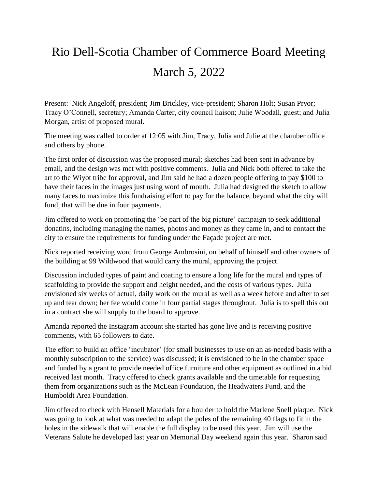## Rio Dell-Scotia Chamber of Commerce Board Meeting March 5, 2022

Present: Nick Angeloff, president; Jim Brickley, vice-president; Sharon Holt; Susan Pryor; Tracy O'Connell, secretary; Amanda Carter, city council liaison; Julie Woodall, guest; and Julia Morgan, artist of proposed mural.

The meeting was called to order at 12:05 with Jim, Tracy, Julia and Julie at the chamber office and others by phone.

The first order of discussion was the proposed mural; sketches had been sent in advance by email, and the design was met with positive comments. Julia and Nick both offered to take the art to the Wiyot tribe for approval, and Jim said he had a dozen people offering to pay \$100 to have their faces in the images just using word of mouth. Julia had designed the sketch to allow many faces to maximize this fundraising effort to pay for the balance, beyond what the city will fund, that will be due in four payments.

Jim offered to work on promoting the 'be part of the big picture' campaign to seek additional donatins, including managing the names, photos and money as they came in, and to contact the city to ensure the requirements for funding under the Façade project are met.

Nick reported receiving word from George Ambrosini, on behalf of himself and other owners of the building at 99 Wildwood that would carry the mural, approving the project.

Discussion included types of paint and coating to ensure a long life for the mural and types of scaffolding to provide the support and height needed, and the costs of various types. Julia envisioned six weeks of actual, daily work on the mural as well as a week before and after to set up and tear down; her fee would come in four partial stages throughout. Julia is to spell this out in a contract she will supply to the board to approve.

Amanda reported the Instagram account she started has gone live and is receiving positive comments, with 65 followers to date.

The effort to build an office 'incubator' (for small businesses to use on an as-needed basis with a monthly subscription to the service) was discussed; it is envisioned to be in the chamber space and funded by a grant to provide needed office furniture and other equipment as outlined in a bid received last month. Tracy offered to check grants available and the timetable for requesting them from organizations such as the McLean Foundation, the Headwaters Fund, and the Humboldt Area Foundation.

Jim offered to check with Hensell Materials for a boulder to hold the Marlene Snell plaque. Nick was going to look at what was needed to adapt the poles of the remaining 40 flags to fit in the holes in the sidewalk that will enable the full display to be used this year. Jim will use the Veterans Salute he developed last year on Memorial Day weekend again this year. Sharon said